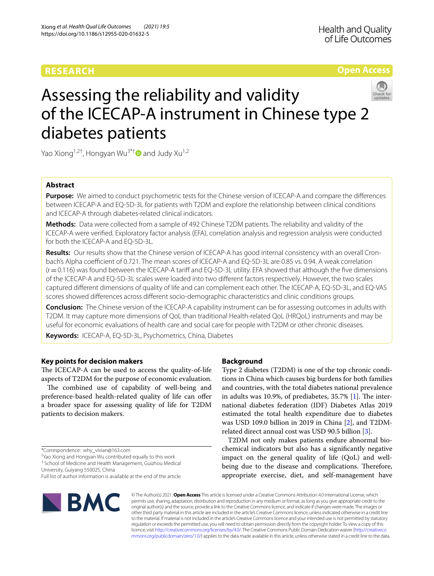## **RESEARCH**

**Open Access**

# Assessing the reliability and validity of the ICECAP-A instrument in Chinese type 2 diabetes patients

Yao Xiong<sup>1,2†</sup>, Hongyan Wu<sup>3\*†</sup> and Judy Xu<sup>1,2</sup>

## **Abstract**

**Purpose:** We aimed to conduct psychometric tests for the Chinese version of ICECAP-A and compare the diferences between ICECAP-A and EQ-5D-3L for patients with T2DM and explore the relationship between clinical conditions and ICECAP-A through diabetes-related clinical indicators.

**Methods:** Data were collected from a sample of 492 Chinese T2DM patients. The reliability and validity of the ICECAP-A were verifed. Exploratory factor analysis (EFA), correlation analysis and regression analysis were conducted for both the ICECAP-A and EQ-5D-3L.

**Results:** Our results show that the Chinese version of ICECAP-A has good internal consistency with an overall Cronbach's Alpha coefficient of 0.721. The mean scores of ICECAP-A and EQ-5D-3L are 0.85 vs. 0.94. A weak correlation  $(r=0.116)$  was found between the ICECAP-A tariff and EQ-5D-3L utility. EFA showed that although the five dimensions of the ICECAP-A and EQ-5D-3L scales were loaded into two diferent factors respectively. However, the two scales captured diferent dimensions of quality of life and can complement each other. The ICECAP-A, EQ-5D-3L, and EQ-VAS scores showed diferences across diferent socio-demographic characteristics and clinic conditions groups.

**Conclusion:** The Chinese version of the ICECAP-A capability instrument can be for assessing outcomes in adults with T2DM. It may capture more dimensions of QoL than traditional Health-related QoL (HRQoL) instruments and may be useful for economic evaluations of health care and social care for people with T2DM or other chronic diseases.

**Keywords:** ICECAP-A, EQ-5D-3L, Psychometrics, China, Diabetes

## **Key points for decision makers**

The ICECAP-A can be used to access the quality-of-life aspects of T2DM for the purpose of economic evaluation.

The combined use of capability of well-being and preference-based health-related quality of life can offer a broader space for assessing quality of life for T2DM patients to decision makers.

\*Correspondence: why\_vivian@163.com

† Yao Xiong and Hongyan Wu contributed equally to this work

<sup>3</sup> School of Medicine and Health Management, Guizhou Medical

University, Guiyang 550025, China Full list of author information is available at the end of the article

## **Background**

Type 2 diabetes (T2DM) is one of the top chronic conditions in China which causes big burdens for both families and countries, with the total diabetes national prevalence in adults was 10.9%, of prediabetes,  $35.7\%$  [\[1](#page-9-0)]. The international diabetes federation (IDF) Diabetes Atlas 2019 estimated the total health expenditure due to diabetes was USD 109.0 billion in 2019 in China [[2\]](#page-9-1), and T2DMrelated direct annual cost was USD 90.5 billion [[3\]](#page-9-2).

T2DM not only makes patients endure abnormal biochemical indicators but also has a signifcantly negative impact on the general quality of life (QoL) and wellbeing due to the disease and complications. Therefore, appropriate exercise, diet, and self-management have



© The Author(s) 2021. **Open Access** This article is licensed under a Creative Commons Attribution 4.0 International License, which permits use, sharing, adaptation, distribution and reproduction in any medium or format, as long as you give appropriate credit to the original author(s) and the source, provide a link to the Creative Commons licence, and indicate if changes were made. The images or other third party material in this article are included in the article's Creative Commons licence, unless indicated otherwise in a credit line to the material. If material is not included in the article's Creative Commons licence and your intended use is not permitted by statutory regulation or exceeds the permitted use, you will need to obtain permission directly from the copyright holder. To view a copy of this licence, visit [http://creativecommons.org/licenses/by/4.0/.](http://creativecommons.org/licenses/by/4.0/) The Creative Commons Public Domain Dedication waiver ([http://creativeco](http://creativecommons.org/publicdomain/zero/1.0/) [mmons.org/publicdomain/zero/1.0/](http://creativecommons.org/publicdomain/zero/1.0/)) applies to the data made available in this article, unless otherwise stated in a credit line to the data.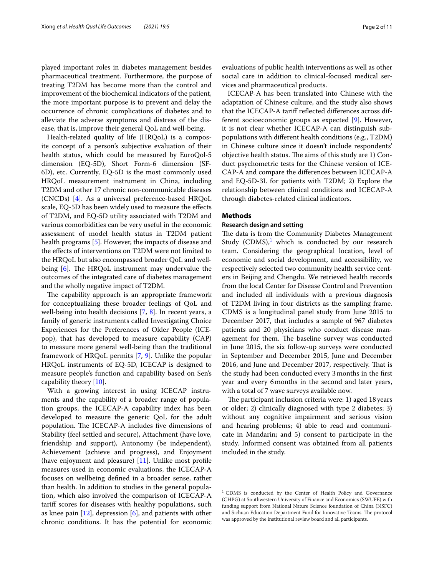played important roles in diabetes management besides pharmaceutical treatment. Furthermore, the purpose of treating T2DM has become more than the control and improvement of the biochemical indicators of the patient, the more important purpose is to prevent and delay the occurrence of chronic complications of diabetes and to alleviate the adverse symptoms and distress of the disease, that is, improve their general QoL and well-being.

Health-related quality of life (HRQoL) is a composite concept of a person's subjective evaluation of their health status, which could be measured by EuroQol-5 dimension (EQ-5D), Short Form-6 dimension (SF-6D), etc. Currently, EQ-5D is the most commonly used HRQoL measurement instrument in China, including T2DM and other 17 chronic non-communicable diseases (CNCDs) [\[4](#page-9-3)]. As a universal preference-based HRQoL scale, EQ-5D has been widely used to measure the efects of T2DM, and EQ-5D utility associated with T2DM and various comorbidities can be very useful in the economic assessment of model health status in T2DM patient health programs [\[5](#page-9-4)]. However, the impacts of disease and the efects of interventions on T2DM were not limited to the HRQoL but also encompassed broader QoL and wellbeing  $[6]$  $[6]$ . The HRQoL instrument may undervalue the outcomes of the integrated care of diabetes management and the wholly negative impact of T2DM.

The capability approach is an appropriate framework for conceptualizing these broader feelings of QoL and well-being into health decisions [[7,](#page-10-1) [8](#page-10-2)]. In recent years, a family of generic instruments called Investigating Choice Experiences for the Preferences of Older People (ICEpop), that has developed to measure capability (CAP) to measure more general well-being than the traditional framework of HRQoL permits [[7,](#page-10-1) [9\]](#page-10-3). Unlike the popular HRQoL instruments of EQ-5D, ICECAP is designed to measure people's function and capability based on Sen's capability theory [[10\]](#page-10-4).

With a growing interest in using ICECAP instruments and the capability of a broader range of population groups, the ICECAP-A capability index has been developed to measure the generic QoL for the adult population. The ICECAP-A includes five dimensions of Stability (feel settled and secure), Attachment (have love, friendship and support), Autonomy (be independent), Achievement (achieve and progress), and Enjoyment (have enjoyment and pleasure) [\[11](#page-10-5)]. Unlike most profle measures used in economic evaluations, the ICECAP-A focuses on wellbeing defned in a broader sense, rather than health. In addition to studies in the general population, which also involved the comparison of ICECAP-A tarif scores for diseases with healthy populations, such as knee pain  $[12]$  $[12]$  $[12]$ , depression  $[6]$  $[6]$  $[6]$ , and patients with other chronic conditions. It has the potential for economic evaluations of public health interventions as well as other social care in addition to clinical-focused medical services and pharmaceutical products.

ICECAP-A has been translated into Chinese with the adaptation of Chinese culture, and the study also shows that the ICECAP-A tarif refected diferences across different socioeconomic groups as expected [[9\]](#page-10-3). However, it is not clear whether ICECAP-A can distinguish subpopulations with diferent health conditions (e.g., T2DM) in Chinese culture since it doesn't include respondents' objective health status. The aims of this study are 1) Conduct psychometric tests for the Chinese version of ICE-CAP-A and compare the diferences between ICECAP-A and EQ-5D-3L for patients with T2DM; 2) Explore the relationship between clinical conditions and ICECAP-A through diabetes-related clinical indicators.

## **Methods**

## **Research design and setting**

The data is from the Community Diabetes Management Study  $(CDMS)^1$ , which is conducted by our research team. Considering the geographical location, level of economic and social development, and accessibility, we respectively selected two community health service centers in Beijing and Chengdu. We retrieved health records from the local Center for Disease Control and Prevention and included all individuals with a previous diagnosis of T2DM living in four districts as the sampling frame. CDMS is a longitudinal panel study from June 2015 to December 2017, that includes a sample of 967 diabetes patients and 20 physicians who conduct disease management for them. The baseline survey was conducted in June 2015, the six follow-up surveys were conducted in September and December 2015, June and December 2016, and June and December 2017, respectively. That is the study had been conducted every 3months in the frst year and every 6months in the second and later years, with a total of 7 wave surveys available now.

The participant inclusion criteria were:  $1)$  aged  $18$  years or older; 2) clinically diagnosed with type 2 diabetes; 3) without any cognitive impairment and serious vision and hearing problems; 4) able to read and communicate in Mandarin; and 5) consent to participate in the study. Informed consent was obtained from all patients included in the study.

<span id="page-1-0"></span><sup>&</sup>lt;sup>1</sup> CDMS is conducted by the Center of Health Policy and Governance (CHPG) at Southwestern University of Finance and Economics (SWUFE) with funding support from National Nature Science foundation of China (NSFC) and Sichuan Education Department Fund for Innovative Teams. The protocol was approved by the institutional review board and all participants.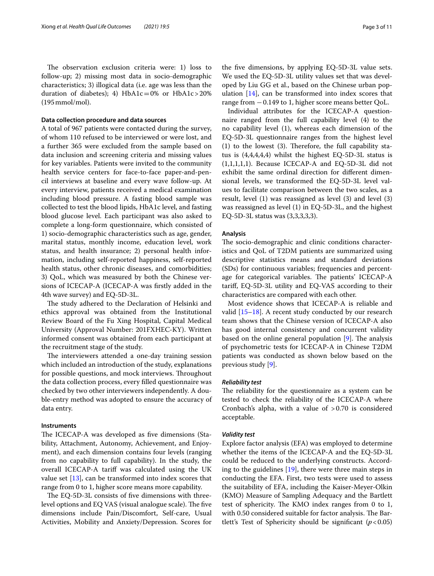The observation exclusion criteria were: 1) loss to follow-up; 2) missing most data in socio-demographic characteristics; 3) illogical data (i.e. age was less than the duration of diabetes); 4)  $HbA1c=0%$  or  $HbA1c>20%$ (195mmol/mol).

## **Data collection procedure and data sources**

A total of 967 patients were contacted during the survey, of whom 110 refused to be interviewed or were lost, and a further 365 were excluded from the sample based on data inclusion and screening criteria and missing values for key variables. Patients were invited to the community health service centers for face-to-face paper-and-pencil interviews at baseline and every wave follow-up. At every interview, patients received a medical examination including blood pressure. A fasting blood sample was collected to test the blood lipids, HbA1c level, and fasting blood glucose level. Each participant was also asked to complete a long-form questionnaire, which consisted of 1) socio-demographic characteristics such as age, gender, marital status, monthly income, education level, work status, and health insurance; 2) personal health information, including self-reported happiness, self-reported health status, other chronic diseases, and comorbidities; 3) QoL, which was measured by both the Chinese versions of ICECAP-A (ICECAP-A was frstly added in the 4th wave survey) and EQ-5D-3L.

The study adhered to the Declaration of Helsinki and ethics approval was obtained from the Institutional Review Board of the Fu Xing Hospital, Capital Medical University (Approval Number: 201FXHEC-KY). Written informed consent was obtained from each participant at the recruitment stage of the study.

The interviewers attended a one-day training session which included an introduction of the study, explanations for possible questions, and mock interviews. Throughout the data collection process, every flled questionnaire was checked by two other interviewers independently. A double-entry method was adopted to ensure the accuracy of data entry.

## **Instruments**

The ICECAP-A was developed as five dimensions (Stability, Attachment, Autonomy, Achievement, and Enjoyment), and each dimension contains four levels (ranging from no capability to full capability). In the study, the overall ICECAP-A tarif was calculated using the UK value set  $[13]$  $[13]$ , can be transformed into index scores that range from 0 to 1, higher score means more capability.

The EQ-5D-3L consists of five dimensions with threelevel options and EQ VAS (visual analogue scale). The five dimensions include Pain/Discomfort, Self-care, Usual Activities, Mobility and Anxiety/Depression. Scores for the fve dimensions, by applying EQ-5D-3L value sets. We used the EQ-5D-3L utility values set that was developed by Liu GG et al., based on the Chinese urban population  $[14]$  $[14]$  $[14]$ , can be transformed into index scores that range from −0.149 to 1, higher score means better QoL.

Individual attributes for the ICECAP-A questionnaire ranged from the full capability level (4) to the no capability level (1), whereas each dimension of the EQ-5D-3L questionnaire ranges from the highest level  $(1)$  to the lowest  $(3)$ . Therefore, the full capability status is (4,4,4,4,4) whilst the highest EQ-5D-3L status is (1,1,1,1,1). Because ICECAP-A and EQ-5D-3L did not exhibit the same ordinal direction for diferent dimensional levels, we transformed the EQ-5D-3L level values to facilitate comparison between the two scales, as a result, level (1) was reassigned as level (3) and level (3) was reassigned as level (1) in EQ-5D-3L, and the highest EQ-5D-3L status was (3,3,3,3,3).

## **Analysis**

The socio-demographic and clinic conditions characteristics and QoL of T2DM patients are summarized using descriptive statistics means and standard deviations (SDs) for continuous variables; frequencies and percentage for categorical variables. The patients' ICECAP-A tarif, EQ-5D-3L utility and EQ-VAS according to their characteristics are compared with each other.

Most evidence shows that ICECAP-A is reliable and valid [\[15](#page-10-9)[–18](#page-10-10)]. A recent study conducted by our research team shows that the Chinese version of ICECAP-A also has good internal consistency and concurrent validity based on the online general population  $[9]$  $[9]$ . The analysis of psychometric tests for ICECAP-A in Chinese T2DM patients was conducted as shown below based on the previous study [[9\]](#page-10-3).

## *Reliability test*

The reliability for the questionnaire as a system can be tested to check the reliability of the ICECAP-A where Cronbach's alpha, with a value of  $>0.70$  is considered acceptable.

#### *Validity test*

Explore factor analysis (EFA) was employed to determine whether the items of the ICECAP-A and the EQ-5D-3L could be reduced to the underlying constructs. According to the guidelines [[19\]](#page-10-11), there were three main steps in conducting the EFA. First, two tests were used to assess the suitability of EFA, including the Kaiser-Meyer-Olkin (KMO) Measure of Sampling Adequacy and the Bartlett test of sphericity. The KMO index ranges from  $0$  to  $1$ , with 0.50 considered suitable for factor analysis. The Bartlett's Test of Sphericity should be significant  $(p<0.05)$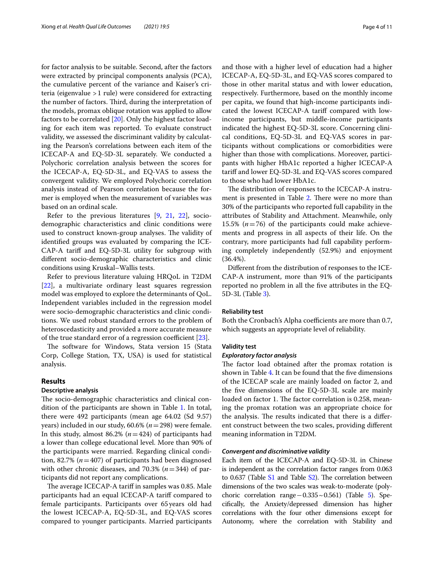for factor analysis to be suitable. Second, after the factors were extracted by principal components analysis (PCA), the cumulative percent of the variance and Kaiser's criteria (eigenvalue >1 rule) were considered for extracting the number of factors. Third, during the interpretation of the models, promax oblique rotation was applied to allow factors to be correlated [\[20\]](#page-10-12). Only the highest factor loading for each item was reported. To evaluate construct validity, we assessed the discriminant validity by calculating the Pearson's correlations between each item of the ICECAP-A and EQ-5D-3L separately. We conducted a Polychoric correlation analysis between the scores for the ICECAP-A, EQ-5D-3L, and EQ-VAS to assess the convergent validity. We employed Polychoric correlation analysis instead of Pearson correlation because the former is employed when the measurement of variables was based on an ordinal scale.

Refer to the previous literatures [[9,](#page-10-3) [21](#page-10-13), [22\]](#page-10-14), sociodemographic characteristics and clinic conditions were used to construct known-group analyses. The validity of identifed groups was evaluated by comparing the ICE-CAP-A tarif and EQ-5D-3L utility for subgroup with diferent socio-demographic characteristics and clinic conditions using Kruskal–Wallis tests.

Refer to previous literature valuing HRQoL in T2DM [[22\]](#page-10-14), a multivariate ordinary least squares regression model was employed to explore the determinants of QoL. Independent variables included in the regression model were socio-demographic characteristics and clinic conditions. We used robust standard errors to the problem of heteroscedasticity and provided a more accurate measure of the true standard error of a regression coefficient  $[23]$  $[23]$ .

The software for Windows, Stata version 15 (Stata Corp, College Station, TX, USA) is used for statistical analysis.

## **Results**

## **Descriptive analysis**

The socio-demographic characteristics and clinical condition of the participants are shown in Table [1](#page-4-0). In total, there were 492 participants (mean age 64.02 (Sd 9.57) years) included in our study, 60.6% (*n*=298) were female. In this study, almost 86.2% (*n*=424) of participants had a lower than college educational level. More than 90% of the participants were married. Regarding clinical condition, 82.7% (*n*=407) of participants had been diagnosed with other chronic diseases, and 70.3% (*n*=344) of participants did not report any complications.

The average ICECAP-A tariff in samples was 0.85. Male participants had an equal ICECAP-A tarif compared to female participants. Participants over 65 years old had the lowest ICECAP-A, EQ-5D-3L, and EQ-VAS scores compared to younger participants. Married participants and those with a higher level of education had a higher ICECAP-A, EQ-5D-3L, and EQ-VAS scores compared to those in other marital status and with lower education, respectively. Furthermore, based on the monthly income per capita, we found that high-income participants indicated the lowest ICECAP-A tarif compared with lowincome participants, but middle-income participants indicated the highest EQ-5D-3L score. Concerning clinical conditions, EQ-5D-3L and EQ-VAS scores in participants without complications or comorbidities were higher than those with complications. Moreover, participants with higher HbA1c reported a higher ICECAP-A tarif and lower EQ-5D-3L and EQ-VAS scores compared to those who had lower HbA1c.

The distribution of responses to the ICECAP-A instru-ment is presented in Table [2](#page-5-0). There were no more than 30% of the participants who reported full capability in the attributes of Stability and Attachment. Meanwhile, only 15.5%  $(n=76)$  of the participants could make achievements and progress in all aspects of their life. On the contrary, more participants had full capability performing completely independently (52.9%) and enjoyment (36.4%).

Diferent from the distribution of responses to the ICE-CAP-A instrument, more than 91% of the participants reported no problem in all the fve attributes in the EQ-5D-3L (Table [3\)](#page-5-1).

## **Reliability test**

Both the Cronbach's Alpha coefficients are more than 0.7, which suggests an appropriate level of reliability.

## **Validity test**

## *Exploratory factor analysis*

The factor load obtained after the promax rotation is shown in Table [4](#page-6-0). It can be found that the five dimensions of the ICECAP scale are mainly loaded on factor 2, and the fve dimensions of the EQ-5D-3L scale are mainly loaded on factor 1. The factor correlation is 0.258, meaning the promax rotation was an appropriate choice for the analysis. The results indicated that there is a different construct between the two scales, providing diferent meaning information in T2DM.

## *Convergent and discriminative validity*

Each item of the ICECAP-A and EQ-5D-3L in Chinese is independent as the correlation factor ranges from 0.063 to  $0.637$  (Table  $S1$  and Table  $S2$ ). The correlation between dimensions of the two scales was weak-to-moderate (poly-choric correlation range−0.335~0.561) (Table [5\)](#page-6-1). Specifcally, the Anxiety/depressed dimension has higher correlations with the four other dimensions except for Autonomy, where the correlation with Stability and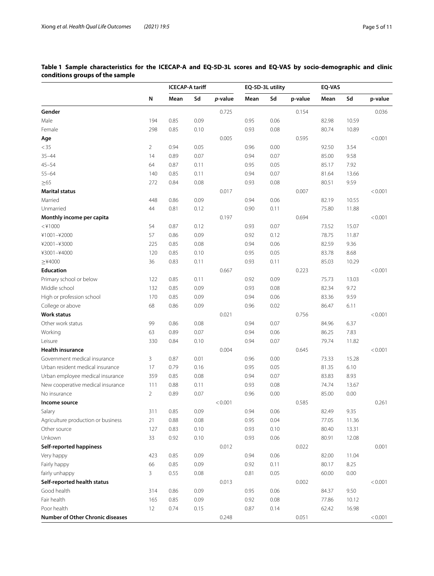## <span id="page-4-0"></span>**Table 1 Sample characteristics for the ICECAP-A and EQ-5D-3L scores and EQ-VAS by socio-demographic and clinic conditions groups of the sample**

|                                         |                | <b>ICECAP-A tariff</b> |      | EQ-5D-3L utility |      |      | EQ-VAS  |       |       |         |
|-----------------------------------------|----------------|------------------------|------|------------------|------|------|---------|-------|-------|---------|
|                                         | N              | Mean                   | Sd   | p-value          | Mean | Sd   | p-value | Mean  | Sd    | p-value |
| Gender                                  |                |                        |      | 0.725            |      |      | 0.154   |       |       | 0.036   |
| Male                                    | 194            | 0.85                   | 0.09 |                  | 0.95 | 0.06 |         | 82.98 | 10.59 |         |
| Female                                  | 298            | 0.85                   | 0.10 |                  | 0.93 | 0.08 |         | 80.74 | 10.89 |         |
| Age                                     |                |                        |      | 0.005            |      |      | 0.595   |       |       | < 0.001 |
| $<$ 35                                  | $\overline{2}$ | 0.94                   | 0.05 |                  | 0.96 | 0.00 |         | 92.50 | 3.54  |         |
| $35 - 44$                               | 14             | 0.89                   | 0.07 |                  | 0.94 | 0.07 |         | 85.00 | 9.58  |         |
| $45 - 54$                               | 64             | 0.87                   | 0.11 |                  | 0.95 | 0.05 |         | 85.17 | 7.92  |         |
| $55 - 64$                               | 140            | 0.85                   | 0.11 |                  | 0.94 | 0.07 |         | 81.64 | 13.66 |         |
| $\geq 65$                               | 272            | 0.84                   | 0.08 |                  | 0.93 | 0.08 |         | 80.51 | 9.59  |         |
| <b>Marital status</b>                   |                |                        |      | 0.017            |      |      | 0.007   |       |       | < 0.001 |
| Married                                 | 448            | 0.86                   | 0.09 |                  | 0.94 | 0.06 |         | 82.19 | 10.55 |         |
| Unmarried                               | 44             | 0.81                   | 0.12 |                  | 0.90 | 0.11 |         | 75.80 | 11.88 |         |
| Monthly income per capita               |                |                        |      | 0.197            |      |      | 0.694   |       |       | < 0.001 |
| $<$ ¥1000                               | 54             | 0.87                   | 0.12 |                  | 0.93 | 0.07 |         | 73.52 | 15.07 |         |
| ¥1001-¥2000                             | 57             | 0.86                   | 0.09 |                  | 0.92 | 0.12 |         | 78.75 | 11.87 |         |
| ¥2001-¥3000                             | 225            | 0.85                   | 0.08 |                  | 0.94 | 0.06 |         | 82.59 | 9.36  |         |
| ¥3001-¥4000                             | 120            | 0.85                   | 0.10 |                  | 0.95 | 0.05 |         | 83.78 | 8.68  |         |
| $>$ ¥4000                               | 36             | 0.83                   | 0.11 |                  | 0.93 | 0.11 |         | 85.03 | 10.29 |         |
| <b>Education</b>                        |                |                        |      | 0.667            |      |      | 0.223   |       |       | < 0.001 |
| Primary school or below                 | 122            | 0.85                   | 0.11 |                  | 0.92 | 0.09 |         | 75.73 | 13.03 |         |
| Middle school                           | 132            | 0.85                   | 0.09 |                  | 0.93 | 0.08 |         | 82.34 | 9.72  |         |
| High or profession school               | 170            | 0.85                   | 0.09 |                  | 0.94 | 0.06 |         | 83.36 | 9.59  |         |
| College or above                        | 68             | 0.86                   | 0.09 |                  | 0.96 | 0.02 |         | 86.47 | 6.11  |         |
| <b>Work status</b>                      |                |                        |      | 0.021            |      |      | 0.756   |       |       | < 0.001 |
| Other work status                       | 99             | 0.86                   | 0.08 |                  | 0.94 | 0.07 |         | 84.96 | 6.37  |         |
| Working                                 | 63             | 0.89                   | 0.07 |                  | 0.94 | 0.06 |         | 86.25 | 7.83  |         |
| Leisure                                 | 330            | 0.84                   | 0.10 |                  | 0.94 | 0.07 |         | 79.74 | 11.82 |         |
| <b>Health insurance</b>                 |                |                        |      | 0.004            |      |      | 0.645   |       |       | < 0.001 |
| Government medical insurance            | 3              | 0.87                   | 0.01 |                  | 0.96 | 0.00 |         | 73.33 | 15.28 |         |
| Urban resident medical insurance        | 17             | 0.79                   | 0.16 |                  | 0.95 | 0.05 |         | 81.35 | 6.10  |         |
| Urban employee medical insurance        | 359            | 0.85                   | 0.08 |                  | 0.94 | 0.07 |         | 83.83 | 8.93  |         |
| New cooperative medical insurance       | 111            | 0.88                   | 0.11 |                  | 0.93 | 0.08 |         | 74.74 | 13.67 |         |
| No insurance                            | $\overline{2}$ | 0.89                   | 0.07 |                  | 0.96 | 0.00 |         | 85.00 | 0.00  |         |
| Income source                           |                |                        |      | < 0.001          |      |      | 0.585   |       |       | 0.261   |
| Salary                                  | 311            | 0.85                   | 0.09 |                  | 0.94 | 0.06 |         | 82.49 | 9.35  |         |
| Agriculture production or business      | 21             | 0.88                   | 0.08 |                  | 0.95 | 0.04 |         | 77.05 | 11.36 |         |
| Other source                            | 127            | 0.83                   | 0.10 |                  | 0.93 | 0.10 |         | 80.40 | 13.31 |         |
| Unkown                                  | 33             | 0.92                   | 0.10 |                  | 0.93 | 0.06 |         | 80.91 | 12.08 |         |
| <b>Self-reported happiness</b>          |                |                        |      | 0.012            |      |      | 0.022   |       |       | 0.001   |
| Very happy                              | 423            | 0.85                   | 0.09 |                  | 0.94 | 0.06 |         | 82.00 | 11.04 |         |
| Fairly happy                            | 66             | 0.85                   | 0.09 |                  | 0.92 | 0.11 |         | 80.17 | 8.25  |         |
| fairly unhappy                          | $\overline{3}$ | 0.55                   | 0.08 |                  | 0.81 | 0.05 |         | 60.00 | 0.00  |         |
| Self-reported health status             |                |                        |      | 0.013            |      |      | 0.002   |       |       | < 0.001 |
| Good health                             | 314            | 0.86                   | 0.09 |                  | 0.95 | 0.06 |         | 84.37 | 9.50  |         |
| Fair health                             | 165            | 0.85                   | 0.09 |                  | 0.92 | 0.08 |         | 77.86 | 10.12 |         |
| Poor health                             | 12             | 0.74                   | 0.15 |                  | 0.87 | 0.14 |         | 62.42 | 16.98 |         |
| <b>Number of Other Chronic diseases</b> |                |                        |      | 0.248            |      |      | 0.051   |       |       | < 0.001 |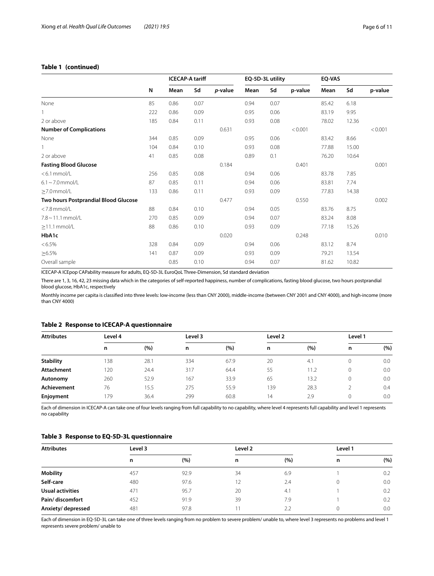## **Table 1 (continued)**

|                                      |     | <b>ICECAP-A tariff</b> |      |         | EQ-5D-3L utility |      |         | EQ-VAS |       |         |
|--------------------------------------|-----|------------------------|------|---------|------------------|------|---------|--------|-------|---------|
|                                      | N   | Mean                   | Sd   | p-value | Mean             | Sd   | p-value | Mean   | Sd    | p-value |
| None                                 | 85  | 0.86                   | 0.07 |         | 0.94             | 0.07 |         | 85.42  | 6.18  |         |
|                                      | 222 | 0.86                   | 0.09 |         | 0.95             | 0.06 |         | 83.19  | 9.95  |         |
| 2 or above                           | 185 | 0.84                   | 0.11 |         | 0.93             | 0.08 |         | 78.02  | 12.36 |         |
| <b>Number of Complications</b>       |     |                        |      | 0.631   |                  |      | < 0.001 |        |       | < 0.001 |
| None                                 | 344 | 0.85                   | 0.09 |         | 0.95             | 0.06 |         | 83.42  | 8.66  |         |
|                                      | 104 | 0.84                   | 0.10 |         | 0.93             | 0.08 |         | 77.88  | 15.00 |         |
| 2 or above                           | 41  | 0.85                   | 0.08 |         | 0.89             | 0.1  |         | 76.20  | 10.64 |         |
| <b>Fasting Blood Glucose</b>         |     |                        |      | 0.184   |                  |      | 0.401   |        |       | 0.001   |
| $< 6.1$ mmol/L                       | 256 | 0.85                   | 0.08 |         | 0.94             | 0.06 |         | 83.78  | 7.85  |         |
| $6.1 \sim 7.0$ mmol/L                | 87  | 0.85                   | 0.11 |         | 0.94             | 0.06 |         | 83.81  | 7.74  |         |
| $\geq$ 7.0 mmol/L                    | 133 | 0.86                   | 0.11 |         | 0.93             | 0.09 |         | 77.83  | 14.38 |         |
| Two hours Postprandial Blood Glucose |     |                        |      | 0.477   |                  |      | 0.550   |        |       | 0.002   |
| $<$ 7.8 mmol/L                       | 88  | 0.84                   | 0.10 |         | 0.94             | 0.05 |         | 83.76  | 8.75  |         |
| $7.8 \sim 11.1$ mmol/L               | 270 | 0.85                   | 0.09 |         | 0.94             | 0.07 |         | 83.24  | 8.08  |         |
| $\geq$ 11.1 mmol/L                   | 88  | 0.86                   | 0.10 |         | 0.93             | 0.09 |         | 77.18  | 15.26 |         |
| HbA1c                                |     |                        |      | 0.020   |                  |      | 0.248   |        |       | 0.010   |
| $< 6.5\%$                            | 328 | 0.84                   | 0.09 |         | 0.94             | 0.06 |         | 83.12  | 8.74  |         |
| $\geq 6.5\%$                         | 141 | 0.87                   | 0.09 |         | 0.93             | 0.09 |         | 79.21  | 13.54 |         |
| Overall sample                       |     | 0.85                   | 0.10 |         | 0.94             | 0.07 |         | 81.62  | 10.82 |         |

ICECAP-A ICEpop CAPability measure for adults, EQ-5D-3L EuroQoL Three-Dimension, Sd standard deviation

There are 1, 3, 16, 42, 23 missing data which in the categories of self-reported happiness, number of complications, fasting blood glucose, two hours postprandial blood glucose, HbA1c, respectively

Monthly income per capita is classifed into three levels: low-income (less than CNY 2000), middle-income (between CNY 2001 and CNY 4000), and high-income (more than CNY 4000)

## <span id="page-5-0"></span>**Table 2 Response to ICECAP-A questionnaire**

| <b>Attributes</b>  | Level 4 |      | Level 3 |      | Level 2 |      | Level 1 |     |
|--------------------|---------|------|---------|------|---------|------|---------|-----|
|                    | n       | (%)  | n       | (%)  | n       | (%)  | n       | (%) |
| <b>Stability</b>   | 138     | 28.1 | 334     | 67.9 | 20      | 4.1  |         | 0.0 |
| Attachment         | 120     | 24.4 | 317     | 64.4 | 55      | 11.2 | 0       | 0.0 |
| Autonomy           | 260     | 52.9 | 167     | 33.9 | 65      | 13.2 | 0       | 0.0 |
| <b>Achievement</b> | 76      | 15.5 | 275     | 55.9 | 139     | 28.3 |         | 0.4 |
| Enjoyment          | 179     | 36.4 | 299     | 60.8 | 14      | 2.9  |         | 0.0 |

Each of dimension in ICECAP-A can take one of four levels ranging from full capability to no capability, where level 4 represents full capability and level 1 represents no capability

## <span id="page-5-1"></span>**Table 3 Response to EQ-5D-3L questionnaire**

| <b>Attributes</b> | Level 3 |      | Level 2        |     | Level 1 |     |
|-------------------|---------|------|----------------|-----|---------|-----|
|                   | n       | (%)  | n              | (%) | n       | (%) |
| <b>Mobility</b>   | 457     | 92.9 | 34             | 6.9 |         | 0.2 |
| Self-care         | 480     | 97.6 | 12             | 2.4 |         | 0.0 |
| Usual activities  | 471     | 95.7 | 20             | 4.1 |         | 0.2 |
| Pain/discomfort   | 452     | 91.9 | 39             | 7.9 |         | 0.2 |
| Anxiety/depressed | 481     | 97.8 | $\overline{1}$ | 2.2 |         | 0.0 |

Each of dimension in EQ-5D-3L can take one of three levels ranging from no problem to severe problem/ unable to, where level 3 represents no problems and level 1 represents severe problem/ unable to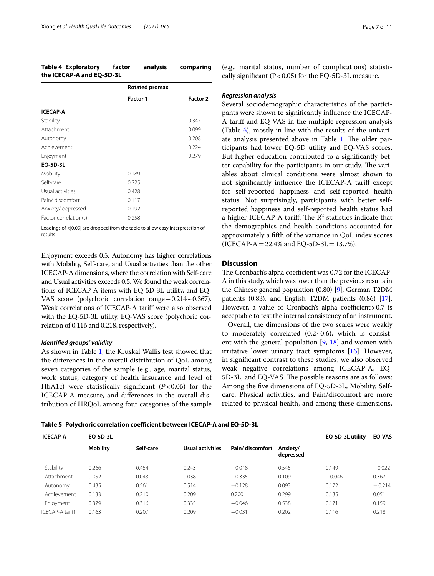<span id="page-6-0"></span>

| <b>Table 4 Exploratory</b> | factor | analysis | comparing |
|----------------------------|--------|----------|-----------|
| the ICECAP-A and EQ-5D-3L  |        |          |           |

|                       | Rotated promax  |                 |
|-----------------------|-----------------|-----------------|
|                       | <b>Factor 1</b> | <b>Factor 2</b> |
| <b>ICECAP-A</b>       |                 |                 |
| Stability             |                 | 0.347           |
| Attachment            |                 | 0.099           |
| Autonomy              |                 | 0.208           |
| Achievement           |                 | 0.224           |
| Enjoyment             |                 | 0.279           |
| EQ-5D-3L              |                 |                 |
| Mobility              | 0.189           |                 |
| Self-care             | 0.225           |                 |
| Usual activities      | 0.428           |                 |
| Pain/ discomfort      | 0.117           |                 |
| Anxiety/depressed     | 0.192           |                 |
| Factor correlation(s) | 0.258           |                 |

Loadings of < | 0.09| are dropped from the table to allow easy interpretation of results

Enjoyment exceeds 0.5. Autonomy has higher correlations with Mobility, Self-care, and Usual activities than the other ICECAP-A dimensions, where the correlation with Self-care and Usual activities exceeds 0.5. We found the weak correlations of ICECAP-A items with EQ-5D-3L utility, and EQ-VAS score (polychoric correlation range−0.214~0.367). Weak correlations of ICECAP-A tarif were also observed with the EQ-5D-3L utility, EQ-VAS score (polychoric correlation of 0.116 and 0.218, respectively).

## *Identifed groups' validity*

As shown in Table [1](#page-4-0), the Kruskal Wallis test showed that the diferences in the overall distribution of QoL among seven categories of the sample (e.g., age, marital status, work status, category of health insurance and level of HbA1c) were statistically signifcant (*P*<0.05) for the ICECAP-A measure, and diferences in the overall distribution of HRQoL among four categories of the sample (e.g., marital status, number of complications) statistically significant ( $P < 0.05$ ) for the EQ-5D-3L measure.

## *Regression analysis*

Several sociodemographic characteristics of the participants were shown to signifcantly infuence the ICECAP-A tarif and EQ-VAS in the multiple regression analysis (Table [6\)](#page-7-0), mostly in line with the results of the univari-ate analysis presented above in Table [1](#page-4-0). The older participants had lower EQ-5D utility and EQ-VAS scores. But higher education contributed to a signifcantly better capability for the participants in our study. The variables about clinical conditions were almost shown to not signifcantly infuence the ICECAP-A tarif except for self-reported happiness and self-reported health status. Not surprisingly, participants with better selfreported happiness and self-reported health status had a higher ICECAP-A tariff. The  $R^2$  statistics indicate that the demographics and health conditions accounted for approximately a ffth of the variance in QoL index scores (ICECAP-A = 22.4% and EQ-5D-3L = 13.7%).

## **Discussion**

The Cronbach's alpha coefficient was 0.72 for the ICECAP-A in this study, which was lower than the previous results in the Chinese general population (0.80) [\[9\]](#page-10-3), German T2DM patients (0.83), and English T2DM patients (0.86) [[17](#page-10-16)]. However, a value of Cronbach's alpha coefficient >  $0.7$  is acceptable to test the internal consistency of an instrument.

Overall, the dimensions of the two scales were weakly to moderately correlated  $(0.2~0.6)$ , which is consistent with the general population  $[9, 18]$  $[9, 18]$  $[9, 18]$  $[9, 18]$  and women with irritative lower urinary tract symptoms [\[16](#page-10-17)]. However, in signifcant contrast to these studies, we also observed weak negative correlations among ICECAP-A, EQ-5D-3L, and EQ-VAS. The possible reasons are as follows: Among the fve dimensions of EQ-5D-3L, Mobility, Selfcare, Physical activities, and Pain/discomfort are more related to physical health, and among these dimensions,

<span id="page-6-1"></span>Table 5 Polychoric correlation coefficient between ICECAP-A and EQ-5D-3L

| <b>ICECAP-A</b> | EO-5D-3L        |           | EO-5D-3L utility | <b>EQ-VAS</b>   |                       |          |          |
|-----------------|-----------------|-----------|------------------|-----------------|-----------------------|----------|----------|
|                 | <b>Mobility</b> | Self-care | Usual activities | Pain/discomfort | Anxiety/<br>depressed |          |          |
| Stability       | 0.266           | 0.454     | 0.243            | $-0.018$        | 0.545                 | 0.149    | $-0.022$ |
| Attachment      | 0.052           | 0.043     | 0.038            | $-0.335$        | 0.109                 | $-0.046$ | 0.367    |
| Autonomy        | 0.435           | 0.561     | 0.514            | $-0.128$        | 0.093                 | 0.172    | $-0.214$ |
| Achievement     | 0.133           | 0.210     | 0.209            | 0.200           | 0.299                 | 0.135    | 0.051    |
| Enjoyment       | 0.379           | 0.316     | 0.335            | $-0.046$        | 0.538                 | 0.171    | 0.159    |
| ICFCAP-A tariff | 0.163           | 0.207     | 0.209            | $-0.031$        | 0.202                 | 0.116    | 0.218    |
|                 |                 |           |                  |                 |                       |          |          |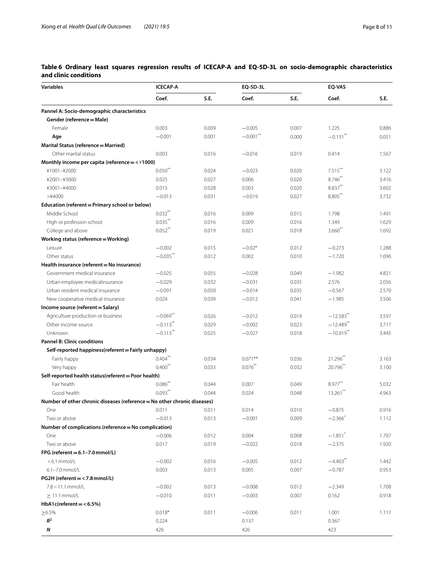## <span id="page-7-0"></span>**Table 6 Ordinary least squares regression results of ICECAP-A and EQ-5D-3L on socio-demographic characteristics and clinic conditions**

| <b>Variables</b>                                                         | <b>ICECAP-A</b>       |       | EQ-5D-3L              |       | EQ-VAS                  |       |
|--------------------------------------------------------------------------|-----------------------|-------|-----------------------|-------|-------------------------|-------|
|                                                                          | Coef.                 | S.E.  | Coef.                 | S.E.  | Coef.                   | S.E.  |
| Pannel A: Socio-demographic characteristics                              |                       |       |                       |       |                         |       |
| Gender (reference = Male)                                                |                       |       |                       |       |                         |       |
| Female                                                                   | 0.003                 | 0.009 | $-0.005$              | 0.007 | 1.225                   | 0.886 |
| Age                                                                      | $-0.001$              | 0.001 | $-0.001$ **           | 0.000 | $-0.131$ <sup>**</sup>  | 0.051 |
| Marital Status (reference = Married)                                     |                       |       |                       |       |                         |       |
| Other marital status                                                     | 0.003                 | 0.016 | $-0.016$              | 0.019 | 0.414                   | 1.567 |
| Monthly income per capita (reference $=$ < $\angle$ 1000)                |                       |       |                       |       |                         |       |
| ¥1001-¥2000                                                              | $0.050$ <sup>**</sup> | 0.024 | $-0.023$              | 0.020 | $7.515***$              | 3.122 |
| ¥2001-¥3000                                                              | 0.025                 | 0.027 | 0.006                 | 0.020 | 8.746                   | 3.416 |
| ¥3001-¥4000                                                              | 0.015                 | 0.028 | 0.003                 | 0.020 | 8.837**                 | 3.602 |
| >¥4000                                                                   | $-0.013$              | 0.031 | $-0.019$              | 0.027 | 8.805**                 | 3.732 |
| Education (referent = Primary school or below)                           |                       |       |                       |       |                         |       |
| Middle School                                                            | $0.032***$            | 0.016 | 0.009                 | 0.015 | 1.798                   | 1.491 |
| High or profession school                                                | $0.035***$            | 0.016 | 0.009                 | 0.016 | 1.349                   | 1.629 |
| College and above                                                        | $0.052$ <sup>**</sup> | 0.019 | 0.021                 | 0.018 | $3.660$ <sup>**</sup>   | 1.692 |
| Working status (reference = Working)                                     |                       |       |                       |       |                         |       |
| Leisure                                                                  | $-0.002$              | 0.015 | $-0.02*$              | 0.012 | $-0.273$                | 1.288 |
| Other status                                                             | $-0.035$ **           | 0.012 | 0.002                 | 0.010 | $-1.720$                | 1.096 |
| Health insurance (referent = No insurance)                               |                       |       |                       |       |                         |       |
| Government medical insurance                                             | $-0.025$              | 0.055 | $-0.028$              | 0.049 | $-1.982$                | 4.821 |
| Urban employee medicalinsurance                                          | $-0.029$              | 0.032 | $-0.031$              | 0.035 | 2.576                   | 2.056 |
| Urban resident medical insurance                                         | $-0.091$              | 0.050 | $-0.014$              | 0.035 | $-0.567$                | 2.570 |
| New cooperative medical insurance                                        | 0.024                 | 0.039 | $-0.012$              | 0.041 | $-1.985$                | 3.506 |
| Income source (referent = Salary)                                        |                       |       |                       |       |                         |       |
| Agriculture production or business                                       | $-0.069$ **           | 0.026 | $-0.012$              | 0.019 | $-12.583$ <sup>**</sup> | 3.597 |
| Other income source                                                      | $-0.113$ **           | 0.029 | $-0.002$              | 0.023 | $-12.489$ <sup>**</sup> | 3.717 |
|                                                                          | $-0.113$ **           |       |                       |       | $-10.919$ **            | 3.445 |
| Unknown<br><b>Pannel B: Clinic conditions</b>                            |                       | 0.025 | $-0.027$              | 0.018 |                         |       |
|                                                                          |                       |       |                       |       |                         |       |
| Self-reported happiness(referent = Fairly unhappy)                       | $0.404***$            |       |                       |       |                         |       |
| Fairly happy                                                             |                       | 0.034 | $0.071***$            | 0.036 | 21.296                  | 3.163 |
| Very happy                                                               | $0.400$ <sup>**</sup> | 0.033 | $0.076$ <sup>**</sup> | 0.032 | 20.796                  | 3.100 |
| Self-reported health status(referent = Poor health)                      | $0.086$ **            |       |                       |       |                         |       |
| Fair health                                                              |                       | 0.044 | 0.007                 | 0.049 | $8.977$ **              | 5.032 |
| Good health                                                              | $0.093***$            | 0.044 | 0.024                 | 0.048 | $13.261$ <sup>**</sup>  | 4.963 |
| Number of other chronic diseases (reference = No other chronic diseases) |                       |       |                       |       |                         |       |
| One                                                                      | 0.011                 | 0.011 | 0.014                 | 0.010 | $-0.875$                | 0.916 |
| Two or above                                                             | $-0.013$              | 0.013 | $-0.001$              | 0.009 | $-2.366$                | 1.112 |
| Number of complications (reference = No complication)                    |                       |       |                       |       |                         |       |
| One                                                                      | $-0.006$              | 0.012 | 0.004                 | 0.008 | $-1.851$ <sup>*</sup>   | 1.797 |
| Two or above                                                             | 0.017                 | 0.019 | $-0.022$              | 0.018 | $-2.375$                | 1.920 |
| FPG (referent = $6.1 - 7.0$ mmol/L)                                      |                       |       |                       |       |                         |       |
| $< 6.1$ mmol/L                                                           | $-0.002$              | 0.016 | $-0.005$              | 0.012 | $-4.403$ **             | 1.442 |
| 6.1-7.0 mmol/L                                                           | 0.003                 | 0.013 | 0.005                 | 0.007 | $-0.787$                | 0.953 |
| PG2H (referent = < 7.8 mmol/L)                                           |                       |       |                       |       |                         |       |
| $7.8 \sim 11.1$ mmol/L                                                   | $-0.002$              | 0.013 | $-0.008$              | 0.012 | $-2.349$                | 1.708 |
| $\geq 11.1$ mmol/L                                                       | $-0.010$              | 0.011 | $-0.003$              | 0.007 | 0.162                   | 0.918 |
| $HbA1c(referent = < 6.5%)$                                               |                       |       |                       |       |                         |       |
| $\geq 6.5\%$                                                             | $0.018*$              | 0.011 | $-0.006$              | 0.011 | 1.001                   | 1.117 |
| $R^2$                                                                    | 0.224                 |       | 0.137                 |       | 0.367                   |       |
| N                                                                        | 426                   |       | 426                   |       | 423                     |       |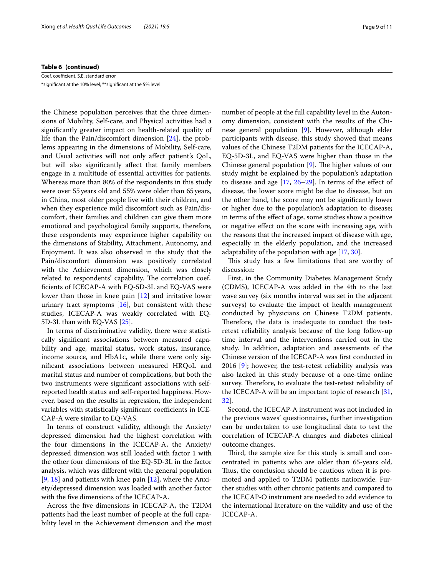#### **Table 6 (continued)**

Coef. coefficient, S.E. standard error

\*signifcant at the 10% level; \*\*signifcant at the 5% level

the Chinese population perceives that the three dimensions of Mobility, Self-care, and Physical activities had a signifcantly greater impact on health-related quality of life than the Pain/discomfort dimension [[24\]](#page-10-18), the problems appearing in the dimensions of Mobility, Self-care, and Usual activities will not only afect patient's QoL, but will also signifcantly afect that family members engage in a multitude of essential activities for patients. Whereas more than 80% of the respondents in this study were over 55years old and 55% were older than 65years, in China, most older people live with their children, and when they experience mild discomfort such as Pain/discomfort, their families and children can give them more emotional and psychological family supports, therefore, these respondents may experience higher capability on the dimensions of Stability, Attachment, Autonomy, and Enjoyment. It was also observed in the study that the Pain/discomfort dimension was positively correlated with the Achievement dimension, which was closely related to respondents' capability. The correlation coeffcients of ICECAP-A with EQ-5D-3L and EQ-VAS were lower than those in knee pain [\[12](#page-10-6)] and irritative lower urinary tract symptoms  $[16]$  $[16]$ , but consistent with these studies, ICECAP-A was weakly correlated with EQ-5D-3L than with EQ-VAS [[25\]](#page-10-19).

In terms of discriminative validity, there were statistically signifcant associations between measured capability and age, marital status, work status, insurance, income source, and HbA1c, while there were only signifcant associations between measured HRQoL and marital status and number of complications, but both the two instruments were signifcant associations with selfreported health status and self-reported happiness. However, based on the results in regression, the independent variables with statistically significant coefficients in ICE-CAP-A were similar to EQ-VAS.

In terms of construct validity, although the Anxiety/ depressed dimension had the highest correlation with the four dimensions in the ICECAP-A, the Anxiety/ depressed dimension was still loaded with factor 1 with the other four dimensions of the EQ-5D-3L in the factor analysis, which was diferent with the general population [[9,](#page-10-3) [18\]](#page-10-10) and patients with knee pain  $[12]$  $[12]$ , where the Anxiety/depressed dimension was loaded with another factor with the fve dimensions of the ICECAP-A.

Across the fve dimensions in ICECAP-A, the T2DM patients had the least number of people at the full capability level in the Achievement dimension and the most

number of people at the full capability level in the Autonomy dimension, consistent with the results of the Chinese general population [[9\]](#page-10-3). However, although elder participants with disease, this study showed that means values of the Chinese T2DM patients for the ICECAP-A, EQ-5D-3L, and EQ-VAS were higher than those in the Chinese general population  $[9]$  $[9]$ . The higher values of our study might be explained by the population's adaptation to disease and age  $[17, 26-29]$  $[17, 26-29]$  $[17, 26-29]$  $[17, 26-29]$  $[17, 26-29]$ . In terms of the effect of disease, the lower score might be due to disease, but on the other hand, the score may not be signifcantly lower or higher due to the population's adaptation to disease; in terms of the efect of age, some studies show a positive or negative efect on the score with increasing age, with the reasons that the increased impact of disease with age, especially in the elderly population, and the increased adaptability of the population with age [\[17](#page-10-16), [30](#page-10-22)].

This study has a few limitations that are worthy of discussion:

First, in the Community Diabetes Management Study (CDMS), ICECAP-A was added in the 4th to the last wave survey (six months interval was set in the adjacent surveys) to evaluate the impact of health management conducted by physicians on Chinese T2DM patients. Therefore, the data is inadequate to conduct the testretest reliability analysis because of the long follow-up time interval and the interventions carried out in the study. In addition, adaptation and assessments of the Chinese version of the ICECAP-A was frst conducted in 2016  $[9]$  $[9]$ ; however, the test-retest reliability analysis was also lacked in this study because of a one-time online survey. Therefore, to evaluate the test-retest reliability of the ICECAP-A will be an important topic of research [[31](#page-10-23), [32\]](#page-10-24).

Second, the ICECAP-A instrument was not included in the previous waves' questionnaires, further investigation can be undertaken to use longitudinal data to test the correlation of ICECAP-A changes and diabetes clinical outcome changes.

Third, the sample size for this study is small and concentrated in patients who are older than 65-years old. Thus, the conclusion should be cautious when it is promoted and applied to T2DM patients nationwide. Further studies with other chronic patients and compared to the ICECAP-O instrument are needed to add evidence to the international literature on the validity and use of the ICECAP-A.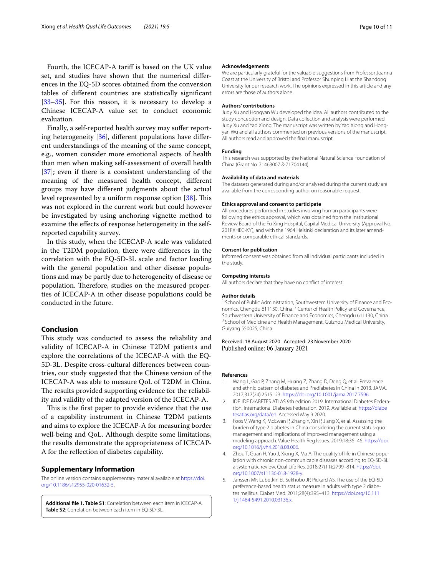Fourth, the ICECAP-A tarif is based on the UK value set, and studies have shown that the numerical diferences in the EQ-5D scores obtained from the conversion tables of diferent countries are statistically signifcant [[33–](#page-10-25)[35](#page-10-26)]. For this reason, it is necessary to develop a Chinese ICECAP-A value set to conduct economic evaluation.

Finally, a self-reported health survey may sufer reporting heterogeneity [\[36\]](#page-10-27), diferent populations have diferent understandings of the meaning of the same concept, e.g., women consider more emotional aspects of health than men when making self-assessment of overall health [[37\]](#page-10-28); even if there is a consistent understanding of the meaning of the measured health concept, diferent groups may have diferent judgments about the actual level represented by a uniform response option [\[38](#page-10-29)]. This was not explored in the current work but could however be investigated by using anchoring vignette method to examine the efects of response heterogeneity in the selfreported capability survey.

In this study, when the ICECAP-A scale was validated in the T2DM population, there were diferences in the correlation with the EQ-5D-3L scale and factor loading with the general population and other disease populations and may be partly due to heterogeneity of disease or population. Therefore, studies on the measured properties of ICECAP-A in other disease populations could be conducted in the future.

## **Conclusion**

This study was conducted to assess the reliability and validity of ICECAP-A in Chinese T2DM patients and explore the correlations of the ICECAP-A with the EQ-5D-3L. Despite cross-cultural diferences between countries, our study suggested that the Chinese version of the ICECAP-A was able to measure QoL of T2DM in China. The results provided supporting evidence for the reliability and validity of the adapted version of the ICECAP-A.

This is the first paper to provide evidence that the use of a capability instrument in Chinese T2DM patients and aims to explore the ICECAP-A for measuring border well-being and QoL. Although despite some limitations, the results demonstrate the appropriateness of ICECAP-A for the refection of diabetes capability.

#### **Supplementary Information**

The online version contains supplementary material available at [https://doi.](https://doi.org/10.1186/s12955-020-01632-5) [org/10.1186/s12955-020-01632-5](https://doi.org/10.1186/s12955-020-01632-5).

<span id="page-9-5"></span>**Additional fle 1. Table S1**: Correlation between each item in ICECAP-A. **Table S2**: Correlation between each item in EQ-5D-3L.

#### **Acknowledgements**

We are particularly grateful for the valuable suggestions from Professor Joanna Coast at the University of Bristol and Professor Shunping Li at the Shandong University for our research work. The opinions expressed in this article and any errors are those of authors alone.

#### **Authors' contributions**

Judy Xu and Hongyan Wu developed the idea. All authors contributed to the study conception and design. Data collection and analysis were performed Judy Xu and Yao Xiong. The manuscript was written by Yao Xiong and Hongyan Wu and all authors commented on previous versions of the manuscript. All authors read and approved the fnal manuscript.

#### **Funding**

This research was supported by the National Natural Science Foundation of China (Grant No. 71463007 & 71704144).

#### **Availability of data and materials**

The datasets generated during and/or analysed during the current study are available from the corresponding author on reasonable request.

#### **Ethics approval and consent to participate**

All procedures performed in studies involving human participants were following the ethics approval, which was obtained from the Institutional Review Board of the Fu Xing Hospital, Capital Medical University (Approval No. 201FXHEC-KY), and with the 1964 Helsinki declaration and its later amendments or comparable ethical standards.

## **Consent for publication**

Informed consent was obtained from all individual participants included in the study.

#### **Competing interests**

All authors declare that they have no confict of interest.

#### **Author details**

<sup>1</sup> School of Public Administration, Southwestern University of Finance and Economics, Chengdu 611130, China. <sup>2</sup> Center of Health Policy and Governance, Southwestern University of Finance and Economics, Chengdu 611130, China.<br><sup>3</sup> School of Medicine and Health Management, Guizhou Medical University, Guiyang 550025, China.

## Received: 18 August 2020 Accepted: 23 November 2020 Published online: 06 January 2021

#### **References**

- <span id="page-9-0"></span>Wang L, Gao P, Zhang M, Huang Z, Zhang D, Deng Q, et al. Prevalence and ethnic pattern of diabetes and Prediabetes in China in 2013. JAMA. 2017;317(24):2515–23. <https://doi.org/10.1001/jama.2017.7596>.
- <span id="page-9-1"></span>2. IDF. IDF DIABETES ATLAS 9th edition 2019. International Diabetes Federation. International Diabetes Federation. 2019. Available at: [https://diabe](https://diabetesatlas.org/data/en) [tesatlas.org/data/en.](https://diabetesatlas.org/data/en) Accessed May 9 2020.
- <span id="page-9-2"></span>3. Foos V, Wang K, McEwan P, Zhang Y, Xin P, Jiang X, et al. Assessing the burden of type 2 diabetes in China considering the current status-quo management and implications of improved management using a modeling approach. Value Health Reg Issues. 2019;18:36–46. [https://doi.](https://doi.org/10.1016/j.vhri.2018.08.006) [org/10.1016/j.vhri.2018.08.006](https://doi.org/10.1016/j.vhri.2018.08.006).
- <span id="page-9-3"></span>4. Zhou T, Guan H, Yao J, Xiong X, Ma A. The quality of life in Chinese population with chronic non-communicable diseases according to EQ-5D-3L: a systematic review. Qual Life Res. 2018;27(11):2799–814. [https://doi.](https://doi.org/10.1007/s11136-018-1928-y) [org/10.1007/s11136-018-1928-y.](https://doi.org/10.1007/s11136-018-1928-y)
- <span id="page-9-4"></span>5. Janssen MF, Lubetkin EI, Sekhobo JP, Pickard AS. The use of the EQ-5D preference-based health status measure in adults with type 2 diabetes mellitus. Diabet Med. 2011;28(4):395–413. [https://doi.org/10.111](https://doi.org/10.1111/j.1464-5491.2010.03136.x) [1/j.1464-5491.2010.03136.x](https://doi.org/10.1111/j.1464-5491.2010.03136.x).